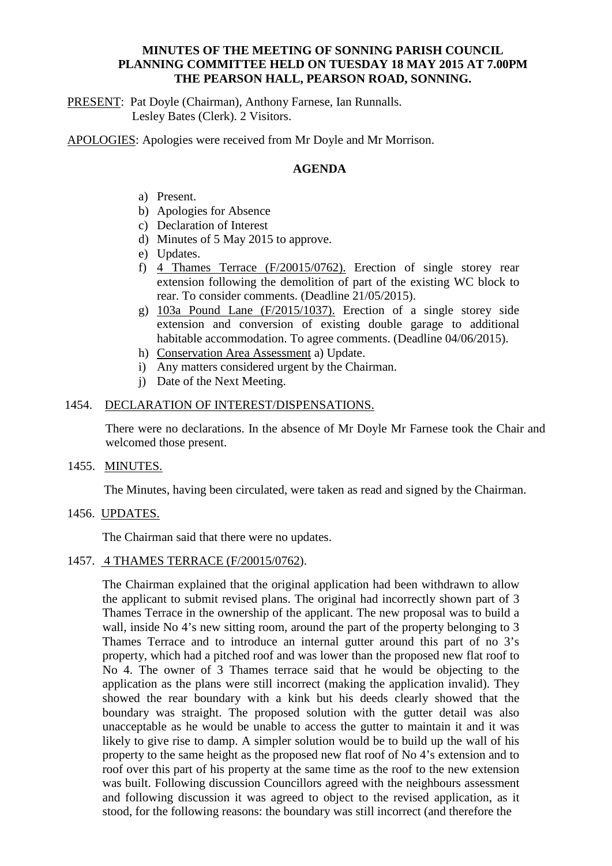## **MINUTES OF THE MEETING OF SONNING PARISH COUNCIL PLANNING COMMITTEE HELD ON TUESDAY 18 MAY 2015 AT 7.00PM THE PEARSON HALL, PEARSON ROAD, SONNING.**

PRESENT: Pat Doyle (Chairman), Anthony Farnese, Ian Runnalls. Lesley Bates (Clerk). 2 Visitors.

APOLOGIES: Apologies were received from Mr Doyle and Mr Morrison.

## **AGENDA**

- a) Present.
- b) Apologies for Absence
- c) Declaration of Interest
- d) Minutes of 5 May 2015 to approve.
- e) Updates.
- f) 4 Thames Terrace (F/20015/0762). Erection of single storey rear extension following the demolition of part of the existing WC block to rear. To consider comments. (Deadline 21/05/2015).
- g) 103a Pound Lane (F/2015/1037). Erection of a single storey side extension and conversion of existing double garage to additional habitable accommodation. To agree comments. (Deadline 04/06/2015).
- h) Conservation Area Assessment a) Update.
- i) Any matters considered urgent by the Chairman.
- j) Date of the Next Meeting.

#### 1454. DECLARATION OF INTEREST/DISPENSATIONS.

There were no declarations. In the absence of Mr Doyle Mr Farnese took the Chair and welcomed those present.

1455. MINUTES.

The Minutes, having been circulated, were taken as read and signed by the Chairman.

1456. UPDATES.

The Chairman said that there were no updates.

# 1457. 4 THAMES TERRACE (F/20015/0762).

The Chairman explained that the original application had been withdrawn to allow the applicant to submit revised plans. The original had incorrectly shown part of 3 Thames Terrace in the ownership of the applicant. The new proposal was to build a wall, inside No 4's new sitting room, around the part of the property belonging to 3 Thames Terrace and to introduce an internal gutter around this part of no 3's property, which had a pitched roof and was lower than the proposed new flat roof to No 4. The owner of 3 Thames terrace said that he would be objecting to the application as the plans were still incorrect (making the application invalid). They showed the rear boundary with a kink but his deeds clearly showed that the boundary was straight. The proposed solution with the gutter detail was also unacceptable as he would be unable to access the gutter to maintain it and it was likely to give rise to damp. A simpler solution would be to build up the wall of his property to the same height as the proposed new flat roof of No 4's extension and to roof over this part of his property at the same time as the roof to the new extension was built. Following discussion Councillors agreed with the neighbours assessment and following discussion it was agreed to object to the revised application, as it stood, for the following reasons: the boundary was still incorrect (and therefore the